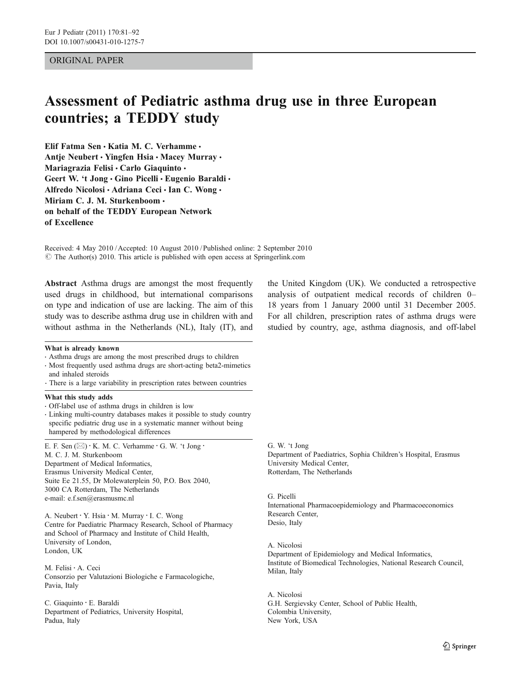## ORIGINAL PAPER

# Assessment of Pediatric asthma drug use in three European countries; a TEDDY study

Elif Fatma Sen · Katia M. C. Verhamme · Antje Neubert • Yingfen Hsia • Macey Murray • Mariagrazia Felisi · Carlo Giaquinto · Geert W. 't Jong · Gino Picelli · Eugenio Baraldi · Alfredo Nicolosi · Adriana Ceci · Ian C. Wong · Miriam C. J. M. Sturkenboom . on behalf of the TEDDY European Network of Excellence

Received: 4 May 2010 /Accepted: 10 August 2010 / Published online: 2 September 2010 © The Author(s) 2010. This article is published with open access at Springerlink.com

Abstract Asthma drugs are amongst the most frequently used drugs in childhood, but international comparisons on type and indication of use are lacking. The aim of this study was to describe asthma drug use in children with and without asthma in the Netherlands (NL), Italy (IT), and

#### What is already known

- ⋅ Asthma drugs are among the most prescribed drugs to children
- ⋅ Most frequently used asthma drugs are short-acting beta2-mimetics and inhaled steroids
- ⋅ There is a large variability in prescription rates between countries

#### What this study adds

- ⋅ Off-label use of asthma drugs in children is low
- ⋅ Linking multi-country databases makes it possible to study country specific pediatric drug use in a systematic manner without being hampered by methodological differences

E. F. Sen  $(\boxtimes) \cdot K$ . M. C. Verhamme  $\cdot$  G. W.  $\cdot t$  Jong  $\cdot$ M. C. J. M. Sturkenboom Department of Medical Informatics, Erasmus University Medical Center, Suite Ee 21.55, Dr Molewaterplein 50, P.O. Box 2040, 3000 CA Rotterdam, The Netherlands e-mail: e.f.sen@erasmusmc.nl

A. Neubert : Y. Hsia : M. Murray : I. C. Wong Centre for Paediatric Pharmacy Research, School of Pharmacy and School of Pharmacy and Institute of Child Health, University of London, London, UK

M. Felisi : A. Ceci Consorzio per Valutazioni Biologiche e Farmacologiche, Pavia, Italy

C. Giaquinto : E. Baraldi Department of Pediatrics, University Hospital, Padua, Italy

the United Kingdom (UK). We conducted a retrospective analysis of outpatient medical records of children 0– 18 years from 1 January 2000 until 31 December 2005. For all children, prescription rates of asthma drugs were studied by country, age, asthma diagnosis, and off-label

G. W. 't Jong Department of Paediatrics, Sophia Children's Hospital, Erasmus University Medical Center, Rotterdam, The Netherlands

G. Picelli International Pharmacoepidemiology and Pharmacoeconomics Research Center, Desio, Italy

A. Nicolosi Department of Epidemiology and Medical Informatics, Institute of Biomedical Technologies, National Research Council, Milan, Italy

A. Nicolosi G.H. Sergievsky Center, School of Public Health, Colombia University, New York, USA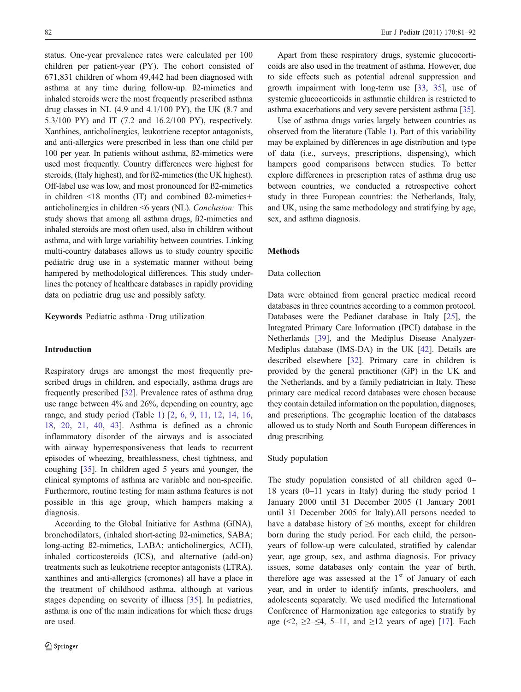status. One-year prevalence rates were calculated per 100 children per patient-year (PY). The cohort consisted of 671,831 children of whom 49,442 had been diagnosed with asthma at any time during follow-up. ß2-mimetics and inhaled steroids were the most frequently prescribed asthma drug classes in NL (4.9 and 4.1/100 PY), the UK (8.7 and 5.3/100 PY) and IT (7.2 and 16.2/100 PY), respectively. Xanthines, anticholinergics, leukotriene receptor antagonists, and anti-allergics were prescribed in less than one child per 100 per year. In patients without asthma, ß2-mimetics were used most frequently. Country differences were highest for steroids, (Italy highest), and for ß2-mimetics (the UK highest). Off-label use was low, and most pronounced for ß2-mimetics in children  $\leq 18$  months (IT) and combined  $\beta$ 2-mimetics+ anticholinergics in children <6 years (NL). Conclusion: This study shows that among all asthma drugs, ß2-mimetics and inhaled steroids are most often used, also in children without asthma, and with large variability between countries. Linking multi-country databases allows us to study country specific pediatric drug use in a systematic manner without being hampered by methodological differences. This study underlines the potency of healthcare databases in rapidly providing data on pediatric drug use and possibly safety.

Keywords Pediatric asthma . Drug utilization

## Introduction

Respiratory drugs are amongst the most frequently prescribed drugs in children, and especially, asthma drugs are frequently prescribed [32]. Prevalence rates of asthma drug use range between 4% and 26%, depending on country, age range, and study period (Table 1) [2, 6, 9, 11, 12, 14, 16, 18, 20, 21, 40, 43]. Asthma is defined as a chronic inflammatory disorder of the airways and is associated with airway hyperresponsiveness that leads to recurrent episodes of wheezing, breathlessness, chest tightness, and coughing [35]. In children aged 5 years and younger, the clinical symptoms of asthma are variable and non-specific. Furthermore, routine testing for main asthma features is not possible in this age group, which hampers making a diagnosis.

According to the Global Initiative for Asthma (GINA), bronchodilators, (inhaled short-acting ß2-mimetics, SABA; long-acting ß2-mimetics, LABA; anticholinergics, ACH), inhaled corticosteroids (ICS), and alternative (add-on) treatments such as leukotriene receptor antagonists (LTRA), xanthines and anti-allergics (cromones) all have a place in the treatment of childhood asthma, although at various stages depending on severity of illness [35]. In pediatrics, asthma is one of the main indications for which these drugs are used.

Apart from these respiratory drugs, systemic glucocorticoids are also used in the treatment of asthma. However, due to side effects such as potential adrenal suppression and growth impairment with long-term use [33, 35], use of systemic glucocorticoids in asthmatic children is restricted to asthma exacerbations and very severe persistent asthma [35].

Use of asthma drugs varies largely between countries as observed from the literature (Table 1). Part of this variability may be explained by differences in age distribution and type of data (i.e., surveys, prescriptions, dispensing), which hampers good comparisons between studies. To better explore differences in prescription rates of asthma drug use between countries, we conducted a retrospective cohort study in three European countries: the Netherlands, Italy, and UK, using the same methodology and stratifying by age, sex, and asthma diagnosis.

#### **Methods**

## Data collection

Data were obtained from general practice medical record databases in three countries according to a common protocol. Databases were the Pedianet database in Italy [25], the Integrated Primary Care Information (IPCI) database in the Netherlands [39], and the Mediplus Disease Analyzer-Mediplus database (IMS-DA) in the UK [42]. Details are described elsewhere [32]. Primary care in children is provided by the general practitioner (GP) in the UK and the Netherlands, and by a family pediatrician in Italy. These primary care medical record databases were chosen because they contain detailed information on the population, diagnoses, and prescriptions. The geographic location of the databases allowed us to study North and South European differences in drug prescribing.

#### Study population

The study population consisted of all children aged 0– 18 years (0–11 years in Italy) during the study period 1 January 2000 until 31 December 2005 (1 January 2001 until 31 December 2005 for Italy).All persons needed to have a database history of ≥6 months, except for children born during the study period. For each child, the personyears of follow-up were calculated, stratified by calendar year, age group, sex, and asthma diagnosis. For privacy issues, some databases only contain the year of birth, therefore age was assessed at the  $1<sup>st</sup>$  of January of each year, and in order to identify infants, preschoolers, and adolescents separately. We used modified the International Conference of Harmonization age categories to stratify by age  $(\leq 2, \geq 2 \leq 4, 5-11,$  and  $\geq 12$  years of age) [17]. Each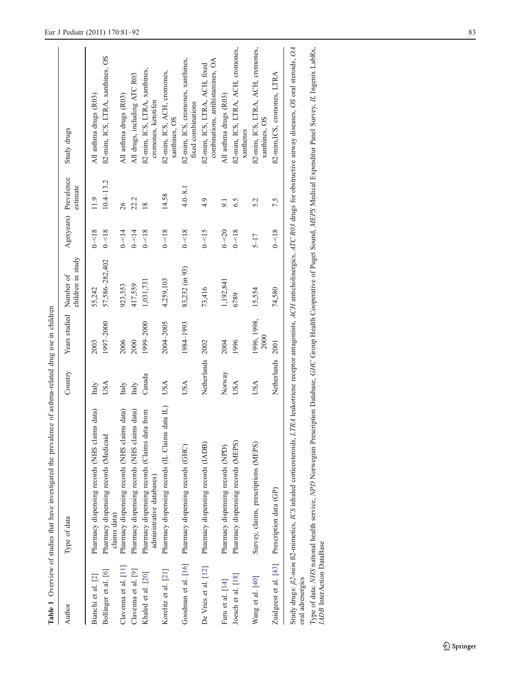| Author               | Type of data                                                               | Country          | Years studied Number of | children in study | Age(years) Prevalence | estimate      | Study drugs                                                                                                                      |
|----------------------|----------------------------------------------------------------------------|------------------|-------------------------|-------------------|-----------------------|---------------|----------------------------------------------------------------------------------------------------------------------------------|
| Bianchi et al. [2]   | Pharmacy dispensing records (NHS claims data)                              | Italy            | 2003                    | 55,242            | $0 - 58$              | 11.9          | All asthma drugs (R03)                                                                                                           |
| Bollinger et al. [6] | Pharmacy dispensing records (Medicaid<br>claims data)                      | USA              | 1997-2000               | 57,586-282,402    | $0 - 18$              | $10.4 - 13.2$ | ß2-mim, ICS, LTRA, xanthines, OS                                                                                                 |
| Clavenna et al. [11] | Pharmacy dispensing records (NHS claims data)                              | Italy            | 2006                    | 923,353           | $0 - 14$              | 26            | All asthma drugs (R03)                                                                                                           |
| Clavenna et al. [9]  | Pharmacy dispensing records (NHS claims data)                              | Italy            | 2000                    | 417,559           | $0 - 14$              | 22.2          | All drugs, including ATC R03                                                                                                     |
| Khaled et al. [20]   | Pharmacy dispensing records (Claims data from<br>administrative databases) | Canada           | 1999-2000               | 1,031,731         | $0 - 18$              | $\frac{8}{2}$ | ß2-mim, ICS, LTRA, xanthines,<br>cromones, ketotifen                                                                             |
| Korelitz et al. [21] | Pharmacy dispensing records (IL Claims data IL)                            | USA              | 2004-2005               | 4,259,103         | $0 - 18$              | 14.58         | ß2-mim, ICS, ACH, cromones,<br>xanthines, OS                                                                                     |
|                      | Goodman et al. [16] Pharmacy dispensing records (GHC)                      | USA              | 1984-1993               | 83,232 (in 93)    | $0 - 18$              | $4.0 - 8.1$   | ß2-mim, ICS, cromones, xanthines,<br>fixed combinations                                                                          |
| De Vries et al. [12] | Pharmacy dispensing records (IADB)                                         | Netherlands 2002 |                         | 73,416            | $0 - 5$               | 4.9           | combinations, antihistamines, OA<br>ß2-mim, ICS, LTRA, ACH, fixed                                                                |
| Furu et al. $[14]$   | Pharmacy dispensing records (NPD)                                          | Norway           | 2004                    | 1,192,841         | $0 - 20$              | 9.1           | All asthma drugs (R03)                                                                                                           |
| Joesch et al. [18]   | Pharmacy dispensing records (MEPS)                                         | USA              | 1996                    | 6789              | $0 - 18$              | 6.5           | ß2-mim, ICS, LTRA, ACH, cromones,<br>xanthenes                                                                                   |
| Wang et al. [40]     | Survey, claims, prescriptions (MEPS)                                       | USA              | 1996, 1998,<br>2000     | 15,554            | $5 - 17$              | 5.2           | ß2-mim, ICS, LTRA, ACH, cromones,<br>xanthines, OS                                                                               |
|                      | Zuidgeest et al. [43] Prescription data (GP)                               | Netherlands      | 2001                    | 74,580            | $0 - 18$              | 7.5           | ß2-mim, ICS, cromones, LTRA                                                                                                      |
|                      | Study drugs: $\beta$ 2-mim ß2-mimetics, ICS inhaled corticosteroids,       |                  |                         |                   |                       |               | LTRA leukotriene receptor antagonists, ACH anticholinergies, ATC R03 drugs for obstructive airway diseases, OS oral steroids, OA |

Table 1 Overview of studies that have investigated the prevalence of asthma-related drug use in children Table 1 Overview of studies that have investigated the prevalence of asthma-related drug use in children oral adrenergics oral adrenergics

Type of data: NHS national health service, NPD Norwegian Prescription Database, GHC Group Health Cooperative of Puget Sound, MEPS Medical Expenditur Panel Survey, IL Ingenix LabRx,<br>IADB InterAction DataBase Type of data: NHS national health service, NPD Norwegian Prescription Database, GHC Group Health Cooperative of Puget Sound, MEPS Medical Expenditur Panel Survey, IL Ingenix LabRx, IADB InterAction DataBase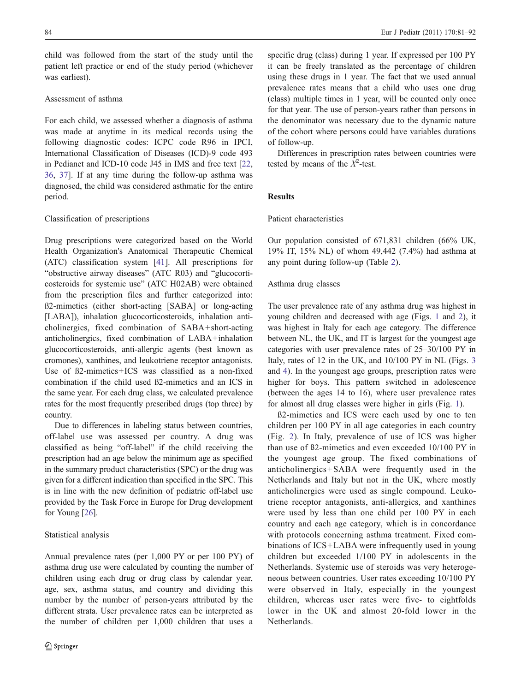child was followed from the start of the study until the patient left practice or end of the study period (whichever was earliest).

## Assessment of asthma

For each child, we assessed whether a diagnosis of asthma was made at anytime in its medical records using the following diagnostic codes: ICPC code R96 in IPCI, International Classification of Diseases (ICD)-9 code 493 in Pedianet and ICD-10 code J45 in IMS and free text [22, 36, 37]. If at any time during the follow-up asthma was diagnosed, the child was considered asthmatic for the entire period.

## Classification of prescriptions

Drug prescriptions were categorized based on the World Health Organization's Anatomical Therapeutic Chemical (ATC) classification system [41]. All prescriptions for "obstructive airway diseases" (ATC R03) and "glucocorticosteroids for systemic use" (ATC H02AB) were obtained from the prescription files and further categorized into: ß2-mimetics (either short-acting [SABA] or long-acting [LABA]), inhalation glucocorticosteroids, inhalation anticholinergics, fixed combination of SABA+short-acting anticholinergics, fixed combination of LABA+inhalation glucocorticosteroids, anti-allergic agents (best known as cromones), xanthines, and leukotriene receptor antagonists. Use of ß2-mimetics+ ICS was classified as a non-fixed combination if the child used ß2-mimetics and an ICS in the same year. For each drug class, we calculated prevalence rates for the most frequently prescribed drugs (top three) by country.

Due to differences in labeling status between countries, off-label use was assessed per country. A drug was classified as being "off-label" if the child receiving the prescription had an age below the minimum age as specified in the summary product characteristics (SPC) or the drug was given for a different indication than specified in the SPC. This is in line with the new definition of pediatric off-label use provided by the Task Force in Europe for Drug development for Young [26].

#### Statistical analysis

Annual prevalence rates (per 1,000 PY or per 100 PY) of asthma drug use were calculated by counting the number of children using each drug or drug class by calendar year, age, sex, asthma status, and country and dividing this number by the number of person-years attributed by the different strata. User prevalence rates can be interpreted as the number of children per 1,000 children that uses a

specific drug (class) during 1 year. If expressed per 100 PY it can be freely translated as the percentage of children using these drugs in 1 year. The fact that we used annual prevalence rates means that a child who uses one drug (class) multiple times in 1 year, will be counted only once for that year. The use of person-years rather than persons in the denominator was necessary due to the dynamic nature of the cohort where persons could have variables durations of follow-up.

Differences in prescription rates between countries were tested by means of the  $X^2$ -test.

## Results

## Patient characteristics

Our population consisted of 671,831 children (66% UK, 19% IT, 15% NL) of whom 49,442 (7.4%) had asthma at any point during follow-up (Table 2).

#### Asthma drug classes

The user prevalence rate of any asthma drug was highest in young children and decreased with age (Figs. 1 and 2), it was highest in Italy for each age category. The difference between NL, the UK, and IT is largest for the youngest age categories with user prevalence rates of 25–30/100 PY in Italy, rates of 12 in the UK, and 10/100 PY in NL (Figs. 3 and 4). In the youngest age groups, prescription rates were higher for boys. This pattern switched in adolescence (between the ages 14 to 16), where user prevalence rates for almost all drug classes were higher in girls (Fig. 1).

ß2-mimetics and ICS were each used by one to ten children per 100 PY in all age categories in each country (Fig. 2). In Italy, prevalence of use of ICS was higher than use of ß2-mimetics and even exceeded 10/100 PY in the youngest age group. The fixed combinations of anticholinergics+SABA were frequently used in the Netherlands and Italy but not in the UK, where mostly anticholinergics were used as single compound. Leukotriene receptor antagonists, anti-allergics, and xanthines were used by less than one child per 100 PY in each country and each age category, which is in concordance with protocols concerning asthma treatment. Fixed combinations of ICS+LABA were infrequently used in young children but exceeded 1/100 PY in adolescents in the Netherlands. Systemic use of steroids was very heterogeneous between countries. User rates exceeding 10/100 PY were observed in Italy, especially in the youngest children, whereas user rates were five- to eightfolds lower in the UK and almost 20-fold lower in the Netherlands.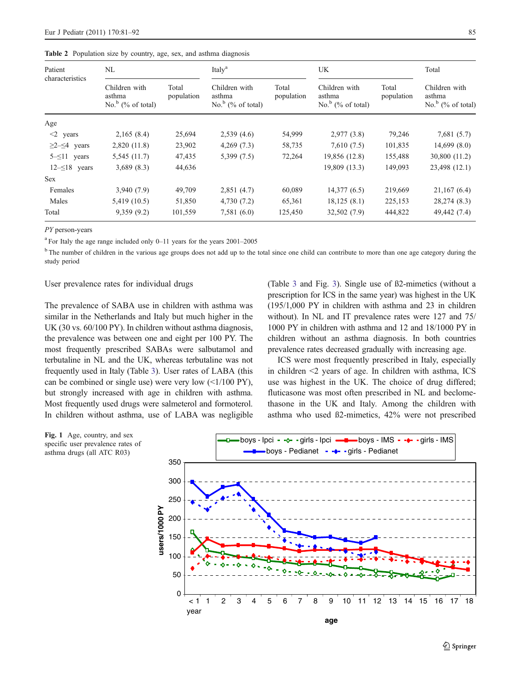| Patient                  | NL                                              |                     | Italy <sup>a</sup>                              |                     | UK                                              |                     | Total                                           |
|--------------------------|-------------------------------------------------|---------------------|-------------------------------------------------|---------------------|-------------------------------------------------|---------------------|-------------------------------------------------|
| characteristics          | Children with<br>asthma<br>No. $b$ (% of total) | Total<br>population | Children with<br>asthma<br>No. $b$ (% of total) | Total<br>population | Children with<br>asthma<br>No. $b$ (% of total) | Total<br>population | Children with<br>asthma<br>No. $b$ (% of total) |
| Age                      |                                                 |                     |                                                 |                     |                                                 |                     |                                                 |
| $<$ 2<br>years           | 2,165(8.4)                                      | 25,694              | 2,539(4.6)                                      | 54,999              | 2,977(3.8)                                      | 79,246              | 7,681 (5.7)                                     |
| $\geq$ 2- $\leq$ 4 years | 2,820(11.8)                                     | 23,902              | 4,269(7.3)                                      | 58,735              | 7,610(7.5)                                      | 101,835             | 14,699(8.0)                                     |
| $5 - \leq 11$ years      | 5,545 (11.7)                                    | 47,435              | 5,399 (7.5)                                     | 72,264              | 19,856 (12.8)                                   | 155,488             | 30,800 (11.2)                                   |
| $12 \leq 18$ years       | 3,689(8.3)                                      | 44,636              |                                                 |                     | 19,809 (13.3)                                   | 149,093             | 23,498 (12.1)                                   |
| <b>Sex</b>               |                                                 |                     |                                                 |                     |                                                 |                     |                                                 |
| Females                  | 3,940(7.9)                                      | 49,709              | 2,851(4.7)                                      | 60,089              | 14,377(6.5)                                     | 219,669             | 21,167(6.4)                                     |
| Males                    | 5,419 (10.5)                                    | 51,850              | 4,730(7.2)                                      | 65,361              | 18,125(8.1)                                     | 225,153             | 28,274 (8.3)                                    |
| Total                    | 9,359(9.2)                                      | 101,559             | 7,581 (6.0)                                     | 125,450             | 32,502 (7.9)                                    | 444,822             | 49,442 (7.4)                                    |

Table 2 Population size by country, age, sex, and asthma diagnosis

PY person-years

<sup>a</sup> For Italy the age range included only 0–11 years for the years 2001–2005

<sup>b</sup> The number of children in the various age groups does not add up to the total since one child can contribute to more than one age category during the study period

## User prevalence rates for individual drugs

The prevalence of SABA use in children with asthma was similar in the Netherlands and Italy but much higher in the UK (30 vs. 60/100 PY). In children without asthma diagnosis, the prevalence was between one and eight per 100 PY. The most frequently prescribed SABAs were salbutamol and terbutaline in NL and the UK, whereas terbutaline was not frequently used in Italy (Table 3). User rates of LABA (this can be combined or single use) were very low  $(\leq1/100 \text{ PY})$ , but strongly increased with age in children with asthma. Most frequently used drugs were salmeterol and formoterol. In children without asthma, use of LABA was negligible (Table 3 and Fig. 3). Single use of ß2-mimetics (without a prescription for ICS in the same year) was highest in the UK (195/1,000 PY in children with asthma and 23 in children without). In NL and IT prevalence rates were 127 and 75/ 1000 PY in children with asthma and 12 and 18/1000 PY in children without an asthma diagnosis. In both countries prevalence rates decreased gradually with increasing age.

ICS were most frequently prescribed in Italy, especially in children <2 years of age. In children with asthma, ICS use was highest in the UK. The choice of drug differed; fluticasone was most often prescribed in NL and beclomethasone in the UK and Italy. Among the children with asthma who used ß2-mimetics, 42% were not prescribed

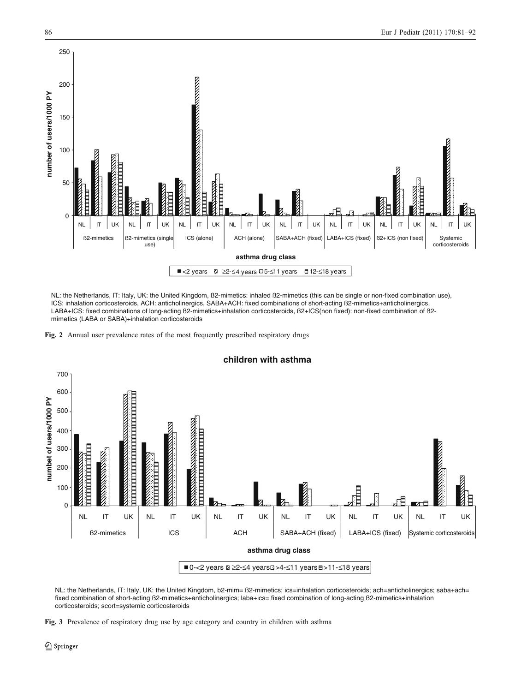

NL: the Netherlands, IT: Italy, UK: the United Kingdom, ß2-mimetics: inhaled ß2-mimetics (this can be single or non-fixed combination use), ICS: inhalation corticosteroids, ACH: anticholinergics, SABA+ACH: fixed combinations of short-acting ß2-mimetics+anticholinergics, LABA+ICS: fixed combinations of long-acting ß2-mimetics+inhalation corticosteroids, ß2+ICS(non fixed): non-fixed combination of ß2 mimetics (LABA or SABA)+inhalation corticosteroids

Fig. 2 Annual user prevalence rates of the most frequently prescribed respiratory drugs



**children with asthma**

NL: the Netherlands, IT: Italy, UK: the United Kingdom, b2-mim= ß2-mimetics; ics=inhalation corticosteroids; ach=anticholinergics; saba+ach= fixed combination of short-acting ß2-mimetics+anticholinergics; laba+ics= fixed combination of long-acting ß2-mimetics+inhalation corticosteroids; scort=systemic corticosteroids

Fig. 3 Prevalence of respiratory drug use by age category and country in children with asthma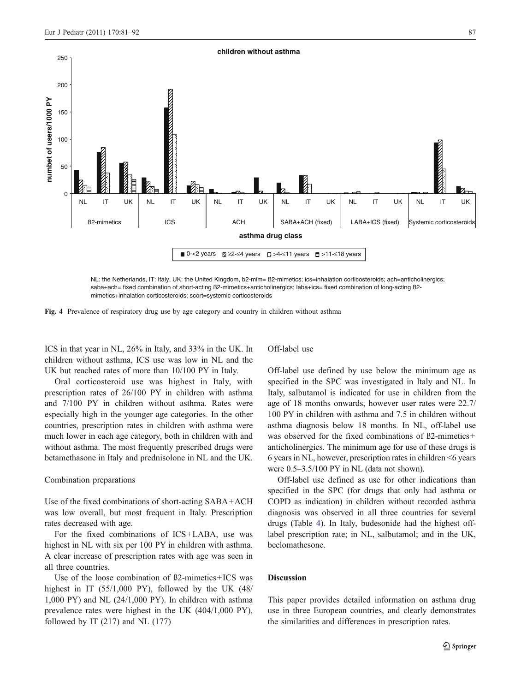

NL: the Netherlands, IT: Italy, UK: the United Kingdom, b2-mim= ß2-mimetics; ics=inhalation corticosteroids; ach=anticholinergics; saba+ach= fixed combination of short-acting B2-mimetics+anticholinergics; laba+ics= fixed combination of long-acting B2mimetics+inhalation corticosteroids; scort=systemic corticosteroids

Fig. 4 Prevalence of respiratory drug use by age category and country in children without asthma

ICS in that year in NL, 26% in Italy, and 33% in the UK. In children without asthma, ICS use was low in NL and the UK but reached rates of more than 10/100 PY in Italy.

Oral corticosteroid use was highest in Italy, with prescription rates of 26/100 PY in children with asthma and 7/100 PY in children without asthma. Rates were especially high in the younger age categories. In the other countries, prescription rates in children with asthma were much lower in each age category, both in children with and without asthma. The most frequently prescribed drugs were betamethasone in Italy and prednisolone in NL and the UK.

#### Combination preparations

Use of the fixed combinations of short-acting SABA+ACH was low overall, but most frequent in Italy. Prescription rates decreased with age.

For the fixed combinations of ICS+LABA, use was highest in NL with six per 100 PY in children with asthma. A clear increase of prescription rates with age was seen in all three countries.

Use of the loose combination of ß2-mimetics+ ICS was highest in IT (55/1,000 PY), followed by the UK (48/ 1,000 PY) and NL (24/1,000 PY). In children with asthma prevalence rates were highest in the UK (404/1,000 PY), followed by IT (217) and NL (177)

Off-label use

Off-label use defined by use below the minimum age as specified in the SPC was investigated in Italy and NL. In Italy, salbutamol is indicated for use in children from the age of 18 months onwards, however user rates were 22.7/ 100 PY in children with asthma and 7.5 in children without asthma diagnosis below 18 months. In NL, off-label use was observed for the fixed combinations of  $\beta$ 2-mimetics+ anticholinergics. The minimum age for use of these drugs is 6 years in NL, however, prescription rates in children <6 years were 0.5–3.5/100 PY in NL (data not shown).

Off-label use defined as use for other indications than specified in the SPC (for drugs that only had asthma or COPD as indication) in children without recorded asthma diagnosis was observed in all three countries for several drugs (Table 4). In Italy, budesonide had the highest offlabel prescription rate; in NL, salbutamol; and in the UK, beclomathesone.

# Discussion

This paper provides detailed information on asthma drug use in three European countries, and clearly demonstrates the similarities and differences in prescription rates.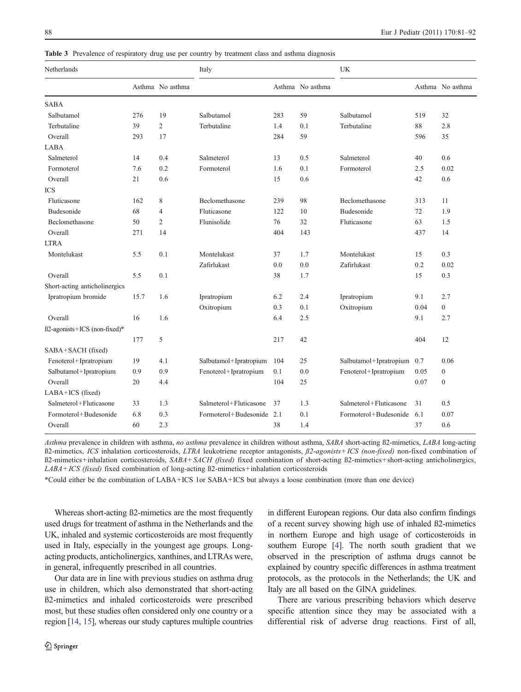Table 3 Prevalence of respiratory drug use per country by treatment class and asthma diagnosis

| Netherlands                   |      |                  | Italy                  |     |                  | UK                     |      |                  |
|-------------------------------|------|------------------|------------------------|-----|------------------|------------------------|------|------------------|
|                               |      | Asthma No asthma |                        |     | Asthma No asthma |                        |      | Asthma No asthma |
| <b>SABA</b>                   |      |                  |                        |     |                  |                        |      |                  |
| Salbutamol                    | 276  | 19               | Salbutamol             | 283 | 59               | Salbutamol             | 519  | 32               |
| Terbutaline                   | 39   | $\overline{c}$   | Terbutaline            | 1.4 | 0.1              | Terbutaline            | 88   | 2.8              |
| Overall                       | 293  | 17               |                        | 284 | 59               |                        | 596  | 35               |
| LABA                          |      |                  |                        |     |                  |                        |      |                  |
| Salmeterol                    | 14   | 0.4              | Salmeterol             | 13  | 0.5              | Salmeterol             | 40   | 0.6              |
| Formoterol                    | 7.6  | 0.2              | Formoterol             | 1.6 | 0.1              | Formoterol             | 2.5  | 0.02             |
| Overall                       | 21   | 0.6              |                        | 15  | 0.6              |                        | 42   | 0.6              |
| <b>ICS</b>                    |      |                  |                        |     |                  |                        |      |                  |
| Fluticasone                   | 162  | 8                | Beclomethasone         | 239 | 98               | Beclomethasone         | 313  | 11               |
| Budesonide                    | 68   | 4                | Fluticasone            | 122 | 10               | Budesonide             | 72   | 1.9              |
| Beclomethasone                | 50   | $\overline{2}$   | Flunisolide            | 76  | 32               | Fluticasone            | 63   | 1.5              |
| Overall                       | 271  | 14               |                        | 404 | 143              |                        | 437  | 14               |
| <b>LTRA</b>                   |      |                  |                        |     |                  |                        |      |                  |
| Montelukast                   | 5.5  | 0.1              | Montelukast            | 37  | 1.7              | Montelukast            | 15   | 0.3              |
|                               |      |                  | Zafirlukast            | 0.0 | 0.0              | Zafirlukast            | 0.2  | 0.02             |
| Overall                       | 5.5  | 0.1              |                        | 38  | 1.7              |                        | 15   | 0.3              |
| Short-acting anticholinergics |      |                  |                        |     |                  |                        |      |                  |
| Ipratropium bromide           | 15.7 | 1.6              | Ipratropium            | 6.2 | 2.4              | Ipratropium            | 9.1  | 2.7              |
|                               |      |                  | Oxitropium             | 0.3 | 0.1              | Oxitropium             | 0.04 | $\overline{0}$   |
| Overall                       | 16   | 1.6              |                        | 6.4 | 2.5              |                        | 9.1  | 2.7              |
| ß2-agonists+ICS (non-fixed)*  |      |                  |                        |     |                  |                        |      |                  |
|                               | 177  | 5                |                        | 217 | 42               |                        | 404  | 12               |
| SABA+SACH (fixed)             |      |                  |                        |     |                  |                        |      |                  |
| Fenoterol+Ipratropium         | 19   | 4.1              | Salbutamol+Ipratropium | 104 | 25               | Salbutamol+Ipratropium | 0.7  | 0.06             |
| Salbutamol+Ipratropium        | 0.9  | 0.9              | Fenoterol+Ipratropium  | 0.1 | 0.0              | Fenoterol+Ipratropium  | 0.05 | $\boldsymbol{0}$ |
| Overall                       | 20   | 4.4              |                        | 104 | 25               |                        | 0.07 | $\mathbf{0}$     |
| LABA+ICS (fixed)              |      |                  |                        |     |                  |                        |      |                  |
| Salmeterol+Fluticasone        | 33   | 1.3              | Salmeterol+Fluticasone | 37  | 1.3              | Salmeterol+Fluticasone | 31   | 0.5              |
| Formoterol+Budesonide         | 6.8  | 0.3              | Formoterol+Budesonide  | 2.1 | 0.1              | Formoterol+Budesonide  | 6.1  | 0.07             |
| Overall                       | 60   | 2.3              |                        | 38  | 1.4              |                        | 37   | 0.6              |

Asthma prevalence in children with asthma, no asthma prevalence in children without asthma, SABA short-acting ß2-mimetics, LABA long-acting ß2-mimetics, ICS inhalation corticosteroids, LTRA leukotriene receptor antagonists, ß2-agonists+ ICS (non-fixed) non-fixed combination of ß2-mimetics+inhalation corticosteroids, SABA+SACH (fixed) fixed combination of short-acting ß2-mimetics+short-acting anticholinergics, LABA+ ICS (fixed) fixed combination of long-acting ß2-mimetics+inhalation corticosteroids

\*Could either be the combination of LABA+ ICS 1or SABA+ ICS but always a loose combination (more than one device)

Whereas short-acting ß2-mimetics are the most frequently used drugs for treatment of asthma in the Netherlands and the UK, inhaled and systemic corticosteroids are most frequently used in Italy, especially in the youngest age groups. Longacting products, anticholinergics, xanthines, and LTRAs were, in general, infrequently prescribed in all countries.

Our data are in line with previous studies on asthma drug use in children, which also demonstrated that short-acting ß2-mimetics and inhaled corticosteroids were prescribed most, but these studies often considered only one country or a region [14, 15], whereas our study captures multiple countries in different European regions. Our data also confirm findings of a recent survey showing high use of inhaled ß2-mimetics in northern Europe and high usage of corticosteroids in southern Europe [4]. The north south gradient that we observed in the prescription of asthma drugs cannot be explained by country specific differences in asthma treatment protocols, as the protocols in the Netherlands; the UK and Italy are all based on the GINA guidelines.

There are various prescribing behaviors which deserve specific attention since they may be associated with a differential risk of adverse drug reactions. First of all,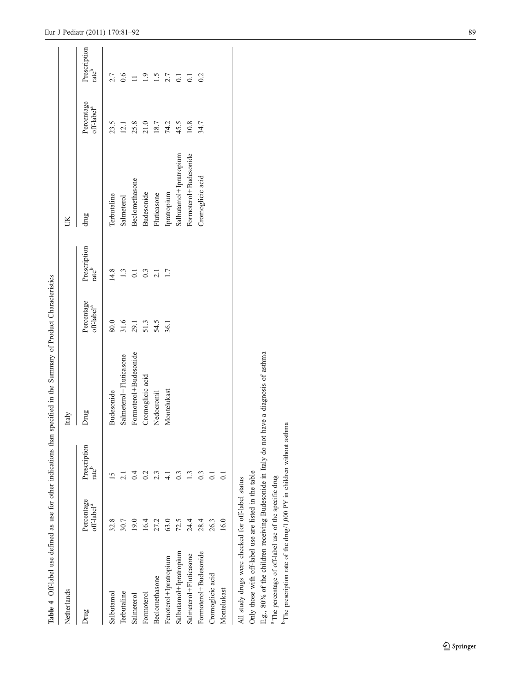| Netherlands                                                                                                |                                      |                                   | Italy                  |                                      |                                   | UK                     |                                      |                                   |
|------------------------------------------------------------------------------------------------------------|--------------------------------------|-----------------------------------|------------------------|--------------------------------------|-----------------------------------|------------------------|--------------------------------------|-----------------------------------|
| Drug                                                                                                       | Percentage<br>off-label <sup>a</sup> | Prescription<br>rate <sup>b</sup> | Drug                   | Percentage<br>off-label <sup>a</sup> | Prescription<br>rate <sup>b</sup> | drug                   | Percentage<br>off-label <sup>a</sup> | Prescription<br>rate <sup>b</sup> |
| Salbutamol                                                                                                 | 32.8                                 | 15                                | Budesonide             | $80.0$                               | 14.8                              | Terbutaline            | 23.5                                 | 2.7                               |
| Terbutaline                                                                                                | 30.7                                 | 2.1                               | Salmeterol+Fluticasone | 31.6                                 | 1.3                               | Salmeterol             | 12.1                                 | 0.6                               |
| Salmeterol                                                                                                 | 19.0                                 | 0.4                               | Formoterol+Budesonide  | 29.1                                 | $\overline{0.1}$                  | Beclomethasone         | 25.8                                 | $\equiv$                          |
| Formoterol                                                                                                 | 16.4                                 | 0.2                               | Cromoglicic acid       | 51.3                                 | 0.3                               | Budesonide             | $21.0\,$                             | 1.9                               |
| Beclomethasone                                                                                             | 27.2                                 | 2.3                               | Nedocromil             | 54.5                                 | 2.1                               | Fluticasone            | 18.7                                 | 1.5                               |
| Fenoterol+Ipratropium                                                                                      | 63.0                                 | $\overline{4.1}$                  | Montelukast            | 36.1                                 | 1.7                               | Ipratropium            | 74.2                                 | 2.7                               |
| Salbutamol+Ipratropium                                                                                     | 72.5                                 | $0.\overline{3}$                  |                        |                                      |                                   | Salbutamol+Ipratropium | 45.5                                 | $\overline{0}$ .                  |
| Salmeterol+Fluticasone                                                                                     | 24.4                                 | 1.3                               |                        |                                      |                                   | Formoterol+Budesonide  | 10.8                                 | $\overline{0}$ .                  |
| Formoterol+Budesonide                                                                                      | 28.4                                 | 0.3                               |                        |                                      |                                   | Cromoglicic acid       | 34.7                                 | 0.2                               |
| Cromoglicic acid                                                                                           | 26.3                                 | $\overline{0}$ .                  |                        |                                      |                                   |                        |                                      |                                   |
| Montelukast                                                                                                | 16.0                                 | $\overline{0}$                    |                        |                                      |                                   |                        |                                      |                                   |
| Only those with off-label use are listed in the table<br>All study drugs were checked for off-label status |                                      |                                   |                        |                                      |                                   |                        |                                      |                                   |
| E.g., 80% of the children receiving Budesonide in Italy do not have a diagnosis of asthma                  |                                      |                                   |                        |                                      |                                   |                        |                                      |                                   |
| <sup>a</sup> The percentage of off-label use of the specific drug                                          |                                      |                                   |                        |                                      |                                   |                        |                                      |                                   |
| <sup>b</sup> The prescription rate of the drug/1,000 PY in children without asthma                         |                                      |                                   |                        |                                      |                                   |                        |                                      |                                   |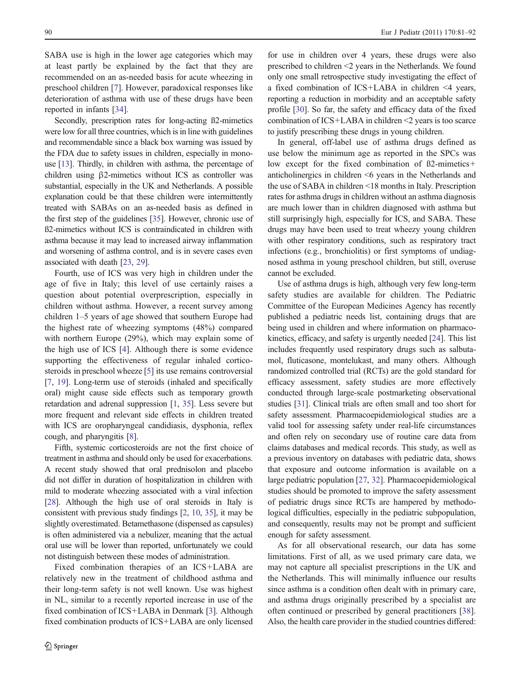SABA use is high in the lower age categories which may at least partly be explained by the fact that they are recommended on an as-needed basis for acute wheezing in preschool children [7]. However, paradoxical responses like deterioration of asthma with use of these drugs have been reported in infants [34].

Secondly, prescription rates for long-acting ß2-mimetics were low for all three countries, which is in line with guidelines and recommendable since a black box warning was issued by the FDA due to safety issues in children, especially in monouse [13]. Thirdly, in children with asthma, the percentage of children using β2-mimetics without ICS as controller was substantial, especially in the UK and Netherlands. A possible explanation could be that these children were intermittently treated with SABAs on an as-needed basis as defined in the first step of the guidelines [35]. However, chronic use of ß2-mimetics without ICS is contraindicated in children with asthma because it may lead to increased airway inflammation and worsening of asthma control, and is in severe cases even associated with death [23, 29].

Fourth, use of ICS was very high in children under the age of five in Italy; this level of use certainly raises a question about potential overprescription, especially in children without asthma. However, a recent survey among children 1–5 years of age showed that southern Europe had the highest rate of wheezing symptoms (48%) compared with northern Europe (29%), which may explain some of the high use of ICS [4]. Although there is some evidence supporting the effectiveness of regular inhaled corticosteroids in preschool wheeze [5] its use remains controversial [7, 19]. Long-term use of steroids (inhaled and specifically oral) might cause side effects such as temporary growth retardation and adrenal suppression [1, 35]. Less severe but more frequent and relevant side effects in children treated with ICS are oropharyngeal candidiasis, dysphonia, reflex cough, and pharyngitis [8].

Fifth, systemic corticosteroids are not the first choice of treatment in asthma and should only be used for exacerbations. A recent study showed that oral prednisolon and placebo did not differ in duration of hospitalization in children with mild to moderate wheezing associated with a viral infection [28]. Although the high use of oral steroids in Italy is consistent with previous study findings [2, 10, 35], it may be slightly overestimated. Betamethasone (dispensed as capsules) is often administered via a nebulizer, meaning that the actual oral use will be lower than reported, unfortunately we could not distinguish between these modes of administration.

Fixed combination therapies of an ICS+LABA are relatively new in the treatment of childhood asthma and their long-term safety is not well known. Use was highest in NL, similar to a recently reported increase in use of the fixed combination of ICS+LABA in Denmark [3]. Although fixed combination products of ICS+LABA are only licensed

for use in children over 4 years, these drugs were also prescribed to children <2 years in the Netherlands. We found only one small retrospective study investigating the effect of a fixed combination of ICS+LABA in children <4 years, reporting a reduction in morbidity and an acceptable safety profile [30]. So far, the safety and efficacy data of the fixed combination of ICS+LABA in children <2 years is too scarce to justify prescribing these drugs in young children.

In general, off-label use of asthma drugs defined as use below the minimum age as reported in the SPCs was low except for the fixed combination of  $\beta$ 2-mimetics+ anticholinergics in children <6 years in the Netherlands and the use of SABA in children <18 months in Italy. Prescription rates for asthma drugs in children without an asthma diagnosis are much lower than in children diagnosed with asthma but still surprisingly high, especially for ICS, and SABA. These drugs may have been used to treat wheezy young children with other respiratory conditions, such as respiratory tract infections (e.g., bronchiolitis) or first symptoms of undiagnosed asthma in young preschool children, but still, overuse cannot be excluded.

Use of asthma drugs is high, although very few long-term safety studies are available for children. The Pediatric Committee of the European Medicines Agency has recently published a pediatric needs list, containing drugs that are being used in children and where information on pharmacokinetics, efficacy, and safety is urgently needed [24]. This list includes frequently used respiratory drugs such as salbutamol, fluticasone, montelukast, and many others. Although randomized controlled trial (RCTs) are the gold standard for efficacy assessment, safety studies are more effectively conducted through large-scale postmarketing observational studies [31]. Clinical trials are often small and too short for safety assessment. Pharmacoepidemiological studies are a valid tool for assessing safety under real-life circumstances and often rely on secondary use of routine care data from claims databases and medical records. This study, as well as a previous inventory on databases with pediatric data, shows that exposure and outcome information is available on a large pediatric population [27, 32]. Pharmacoepidemiological studies should be promoted to improve the safety assessment of pediatric drugs since RCTs are hampered by methodological difficulties, especially in the pediatric subpopulation, and consequently, results may not be prompt and sufficient enough for safety assessment.

As for all observational research, our data has some limitations. First of all, as we used primary care data, we may not capture all specialist prescriptions in the UK and the Netherlands. This will minimally influence our results since asthma is a condition often dealt with in primary care, and asthma drugs originally prescribed by a specialist are often continued or prescribed by general practitioners [38]. Also, the health care provider in the studied countries differed: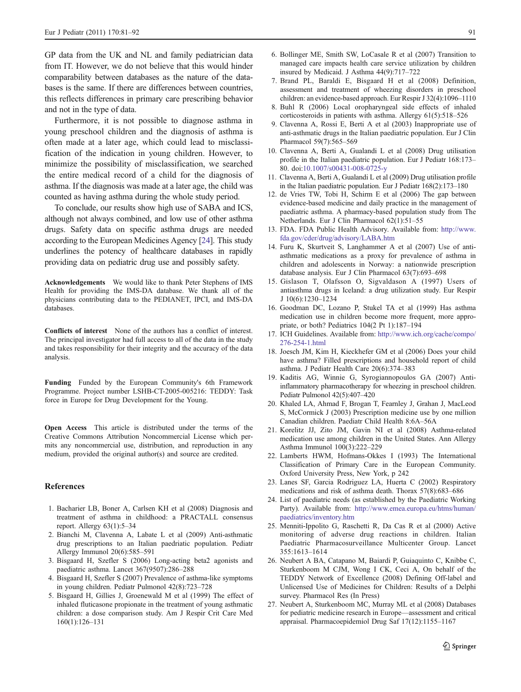GP data from the UK and NL and family pediatrician data from IT. However, we do not believe that this would hinder comparability between databases as the nature of the databases is the same. If there are differences between countries, this reflects differences in primary care prescribing behavior and not in the type of data.

Furthermore, it is not possible to diagnose asthma in young preschool children and the diagnosis of asthma is often made at a later age, which could lead to misclassification of the indication in young children. However, to minimize the possibility of misclassification, we searched the entire medical record of a child for the diagnosis of asthma. If the diagnosis was made at a later age, the child was counted as having asthma during the whole study period.

To conclude, our results show high use of SABA and ICS, although not always combined, and low use of other asthma drugs. Safety data on specific asthma drugs are needed according to the European Medicines Agency [24]. This study underlines the potency of healthcare databases in rapidly providing data on pediatric drug use and possibly safety.

Acknowledgements We would like to thank Peter Stephens of IMS Health for providing the IMS-DA database. We thank all of the physicians contributing data to the PEDIANET, IPCI, and IMS-DA databases.

Conflicts of interest None of the authors has a conflict of interest. The principal investigator had full access to all of the data in the study and takes responsibility for their integrity and the accuracy of the data analysis.

Funding Funded by the European Community's 6th Framework Programme. Project number LSHB-CT-2005-005216: TEDDY: Task force in Europe for Drug Development for the Young.

Open Access This article is distributed under the terms of the Creative Commons Attribution Noncommercial License which permits any noncommercial use, distribution, and reproduction in any medium, provided the original author(s) and source are credited.

#### **References**

- 1. Bacharier LB, Boner A, Carlsen KH et al (2008) Diagnosis and treatment of asthma in childhood: a PRACTALL consensus report. Allergy 63(1):5–34
- 2. Bianchi M, Clavenna A, Labate L et al (2009) Anti-asthmatic drug prescriptions to an Italian paedriatic population. Pediatr Allergy Immunol 20(6):585–591
- 3. Bisgaard H, Szefler S (2006) Long-acting beta2 agonists and paediatric asthma. Lancet 367(9507):286–288
- 4. Bisgaard H, Szefler S (2007) Prevalence of asthma-like symptoms in young children. Pediatr Pulmonol 42(8):723–728
- 5. Bisgaard H, Gillies J, Groenewald M et al (1999) The effect of inhaled fluticasone propionate in the treatment of young asthmatic children: a dose comparison study. Am J Respir Crit Care Med 160(1):126–131
- 6. Bollinger ME, Smith SW, LoCasale R et al (2007) Transition to managed care impacts health care service utilization by children insured by Medicaid. J Asthma 44(9):717–722
- 7. Brand PL, Baraldi E, Bisgaard H et al (2008) Definition, assessment and treatment of wheezing disorders in preschool children: an evidence-based approach. Eur Respir J 32(4):1096–1110
- 8. Buhl R (2006) Local oropharyngeal side effects of inhaled corticosteroids in patients with asthma. Allergy 61(5):518–526
- 9. Clavenna A, Rossi E, Berti A et al (2003) Inappropriate use of anti-asthmatic drugs in the Italian paediatric population. Eur J Clin Pharmacol 59(7):565–569
- 10. Clavenna A, Berti A, Gualandi L et al (2008) Drug utilisation profile in the Italian paediatric population. Eur J Pediatr 168:173– 80. doi:10.1007/s00431-008-0725-y
- 11. Clavenna A, Berti A, Gualandi L et al (2009) Drug utilisation profile in the Italian paediatric population. Eur J Pediatr 168(2):173–180
- 12. de Vries TW, Tobi H, Schirm E et al (2006) The gap between evidence-based medicine and daily practice in the management of paediatric asthma. A pharmacy-based population study from The Netherlands. Eur J Clin Pharmacol 62(1):51–55
- 13. FDA. FDA Public Health Advisory. Available from: http://www. fda.gov/cder/drug/advisory/LABA.htm
- 14. Furu K, Skurtveit S, Langhammer A et al (2007) Use of antiasthmatic medications as a proxy for prevalence of asthma in children and adolescents in Norway: a nationwide prescription database analysis. Eur J Clin Pharmacol 63(7):693–698
- 15. Gislason T, Olafsson O, Sigvaldason A (1997) Users of antiasthma drugs in Iceland: a drug utilization study. Eur Respir J 10(6):1230–1234
- 16. Goodman DC, Lozano P, Stukel TA et al (1999) Has asthma medication use in children become more frequent, more appropriate, or both? Pediatrics 104(2 Pt 1):187–194
- 17. ICH Guidelines. Available from: http://www.ich.org/cache/compo/ 276-254-1.html
- 18. Joesch JM, Kim H, Kieckhefer GM et al (2006) Does your child have asthma? Filled prescriptions and household report of child asthma. J Pediatr Health Care 20(6):374–383
- 19. Kaditis AG, Winnie G, Syrogiannopoulos GA (2007) Antiinflammatory pharmacotherapy for wheezing in preschool children. Pediatr Pulmonol 42(5):407–420
- 20. Khaled LA, Ahmad F, Brogan T, Fearnley J, Grahan J, MacLeod S, McCormick J (2003) Prescription medicine use by one million Canadian children. Paediatr Child Health 8:6A–56A
- 21. Korelitz JJ, Zito JM, Gavin NI et al (2008) Asthma-related medication use among children in the United States. Ann Allergy Asthma Immunol 100(3):222–229
- 22. Lamberts HWM, Hofmans-Okkes I (1993) The International Classification of Primary Care in the European Community. Oxford University Press, New York, p 242
- 23. Lanes SF, Garcia Rodriguez LA, Huerta C (2002) Respiratory medications and risk of asthma death. Thorax 57(8):683–686
- 24. List of paediatric needs (as established by the Paediatric Working Party). Available from: http://www.emea.europa.eu/htms/human/ paediatrics/inventory.htm
- 25. Menniti-Ippolito G, Raschetti R, Da Cas R et al (2000) Active monitoring of adverse drug reactions in children. Italian Paediatric Pharmacosurveillance Multicenter Group. Lancet 355:1613–1614
- 26. Neubert A BA, Catapano M, Baiardi P, Guiaquinto C, Knibbe C, Sturkenboom M CJM, Wong I CK, Ceci A, On behalf of the TEDDY Network of Excellence (2008) Defining Off-label and Unlicensed Use of Medicines for Children: Results of a Delphi survey. Pharmacol Res (In Press)
- 27. Neubert A, Sturkenboom MC, Murray ML et al (2008) Databases for pediatric medicine research in Europe—assessment and critical appraisal. Pharmacoepidemiol Drug Saf 17(12):1155–1167